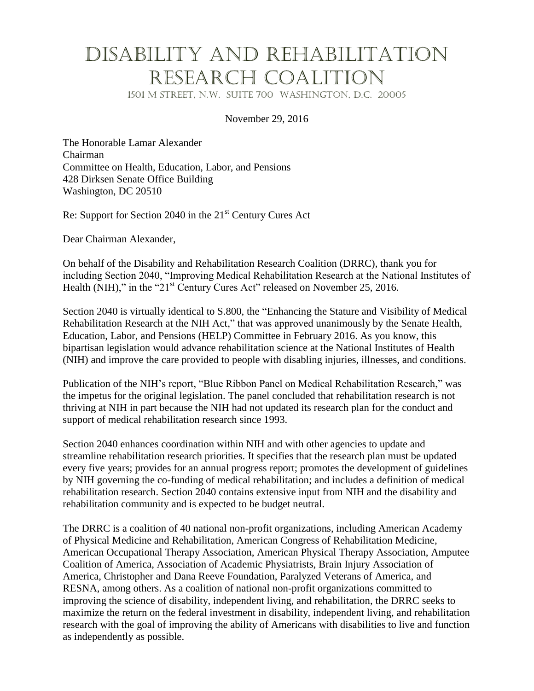## Disability and Rehabilitation Research Coalition

1501 M Street, N.W. Suite 700 Washington, D.C. 20005

## November 29, 2016

The Honorable Lamar Alexander Chairman Committee on Health, Education, Labor, and Pensions 428 Dirksen Senate Office Building Washington, DC 20510

Re: Support for Section 2040 in the  $21<sup>st</sup>$  Century Cures Act

Dear Chairman Alexander,

On behalf of the Disability and Rehabilitation Research Coalition (DRRC), thank you for including Section 2040, "Improving Medical Rehabilitation Research at the National Institutes of Health (NIH)," in the " $21<sup>st</sup>$  Century Cures Act" released on November 25, 2016.

Section 2040 is virtually identical to S.800, the "Enhancing the Stature and Visibility of Medical Rehabilitation Research at the NIH Act," that was approved unanimously by the Senate Health, Education, Labor, and Pensions (HELP) Committee in February 2016. As you know, this bipartisan legislation would advance rehabilitation science at the National Institutes of Health (NIH) and improve the care provided to people with disabling injuries, illnesses, and conditions.

Publication of the NIH's report, "Blue Ribbon Panel on Medical Rehabilitation Research," was the impetus for the original legislation. The panel concluded that rehabilitation research is not thriving at NIH in part because the NIH had not updated its research plan for the conduct and support of medical rehabilitation research since 1993.

Section 2040 enhances coordination within NIH and with other agencies to update and streamline rehabilitation research priorities. It specifies that the research plan must be updated every five years; provides for an annual progress report; promotes the development of guidelines by NIH governing the co-funding of medical rehabilitation; and includes a definition of medical rehabilitation research. Section 2040 contains extensive input from NIH and the disability and rehabilitation community and is expected to be budget neutral.

The DRRC is a coalition of 40 national non-profit organizations, including American Academy of Physical Medicine and Rehabilitation, American Congress of Rehabilitation Medicine, American Occupational Therapy Association, American Physical Therapy Association, Amputee Coalition of America, Association of Academic Physiatrists, Brain Injury Association of America, Christopher and Dana Reeve Foundation, Paralyzed Veterans of America, and RESNA, among others. As a coalition of national non-profit organizations committed to improving the science of disability, independent living, and rehabilitation, the DRRC seeks to maximize the return on the federal investment in disability, independent living, and rehabilitation research with the goal of improving the ability of Americans with disabilities to live and function as independently as possible.